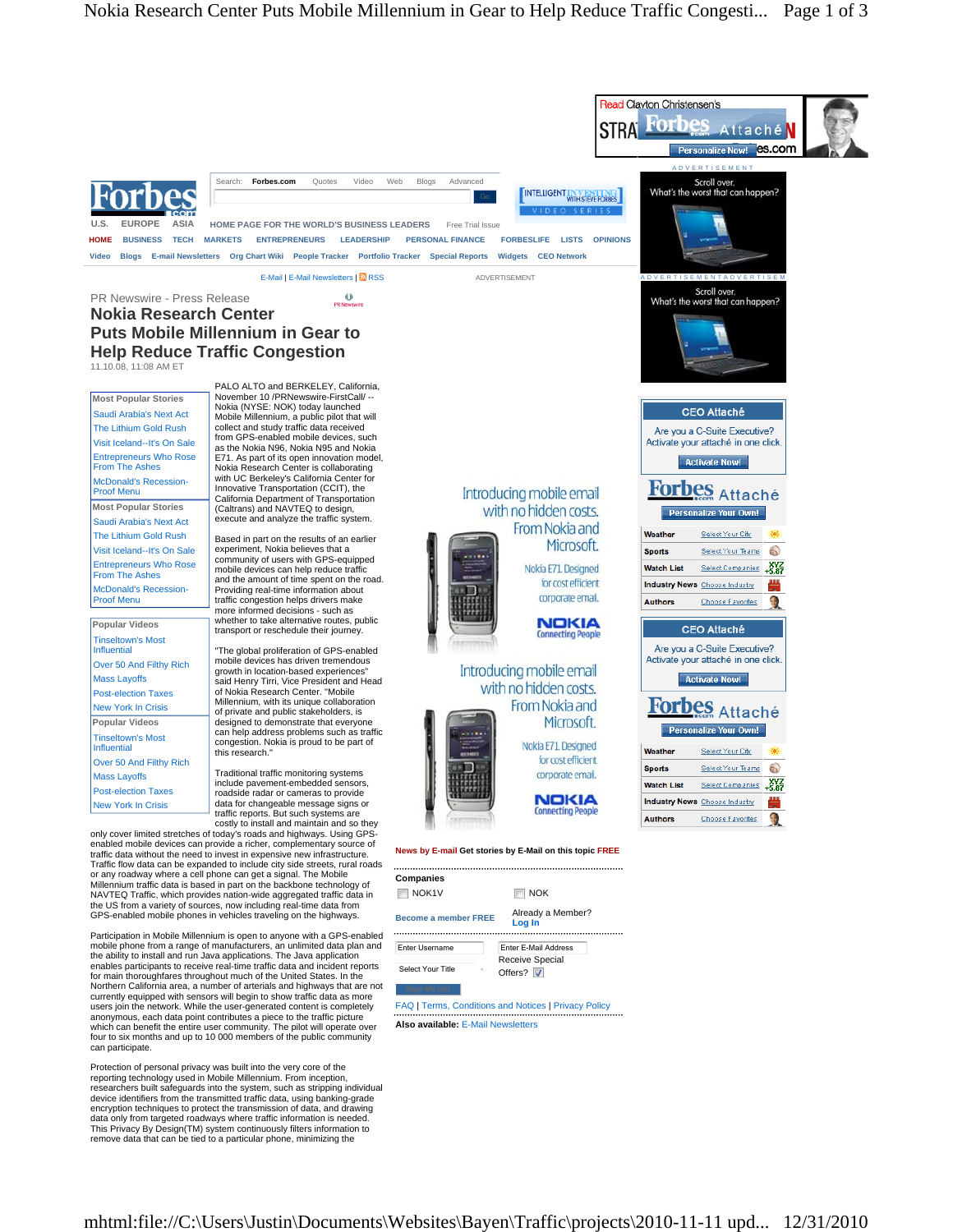

Protection of personal privacy was built into the very core of the reporting technology used in Mobile Millennium. From inception, researchers built safeguards into the system, such as stripping individual device identifiers from the transmitted traffic data, using banking-grade encryption techniques to protect the transmission of data, and drawing data only from targeted roadways where traffic information is needed. This Privacy By Design(TM) system continuously filters information to remove data that can be tied to a particular phone, minimizing the

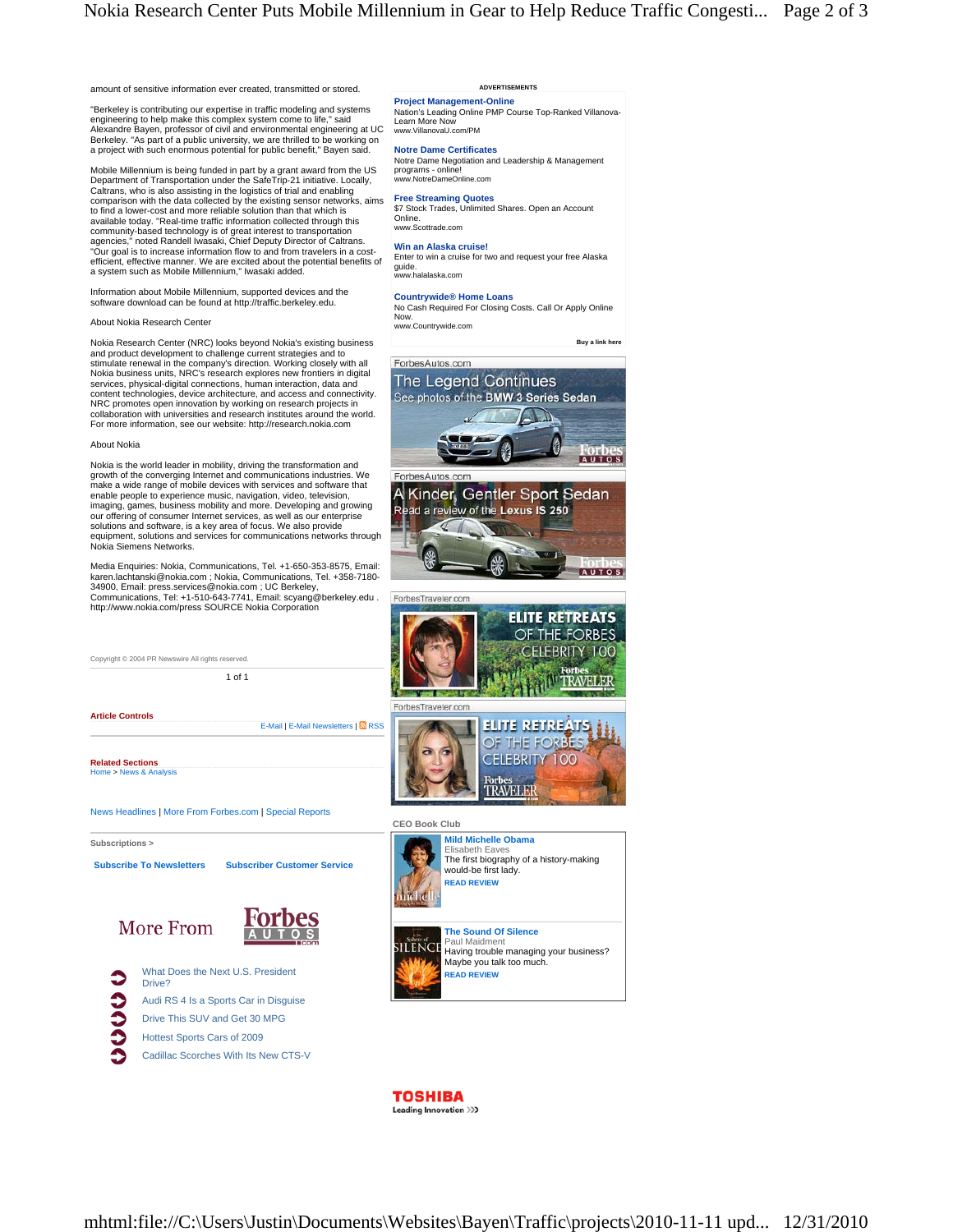

"Berkeley is contributing our expertise in traffic modeling and systems engineering to help make this complex system come to life," said Alexandre Bayen, professor of civil and environmental engineering at UC Berkeley. "As part of a public university, we are thrilled to be working on a project with such enormous potential for public benefit," Bayen said.

Mobile Millennium is being funded in part by a grant award from the US Department of Transportation under the SafeTrip-21 initiative. Locally, Caltrans, who is also assisting in the logistics of trial and enabling comparison with the data collected by the existing sensor networks, aims to find a lower-cost and more reliable solution than that which is available today. "Real-time traffic information collected through this community-based technology is of great interest to transportation<br>agencies," noted Randell Iwasaki, Chief Deputy Director of Caltrans.<br>"Our goal is to increase information flow to and from travelers in a costefficient, effective manner. We are excited about the potential benefits of a system such as Mobile Millennium," Iwasaki added.

Information about Mobile Millennium, supported devices and the software download can be found at http://traffic.berkeley.edu.

# About Nokia Research Center

Nokia Research Center (NRC) looks beyond Nokia's existing business and product development to challenge current strategies and to stimulate renewal in the company's direction. Working closely with all Nokia business units, NRC's research explores new frontiers in digital services, physical-digital connections, human interaction, data and content technologies, device architecture, and access and connectivity. NRC promotes open innovation by working on research projects in collaboration with universities and research institutes around the world. For more information, see our website: http://research.nokia.com

### About Nokia

Nokia is the world leader in mobility, driving the transformation and growth of the converging Internet and communications industries. We make a wide range of mobile devices with services and software that enable people to experience music, navigation, video, television, imaging, games, business mobility and more. Developing and growing our offering of consumer Internet services, as well as our enterprise solutions and software, is a key area of focus. We also provide equipment, solutions and services for communications networks through Nokia Siemens Networks.

Media Enquiries: Nokia, Communications, Tel. +1-650-353-8575, Email: karen.lachtanski@nokia.com ; Nokia, Communications, Tel. +358-7180- 34900, Email: press.services@nokia.com ; UC Berkeley, Communications, Tel: +1-510-643-7741, Email: scyang@berkeley.edu . http://www.nokia.com/press SOURCE Nokia Corporation

| Copyright © 2004 PR Newswire All rights reserved.              |                    |
|----------------------------------------------------------------|--------------------|
| $1$ of $1$                                                     |                    |
|                                                                | ForbesTraveler.com |
| <b>Article Controls</b><br>E-Mail   E-Mail Newsletters   N RSS |                    |
| <b>Related Sections</b>                                        |                    |
| Home > News & Analysis                                         |                    |
| News Headlines   More From Forbes.com   Special Reports        |                    |

#### **Subscriptions >**



# **ADVERTISEMENTS**

**Project Management-Online** Nation's Leading Online PMP Course Top-Ranked Villanova-Learn More Now www.<br>WillanovaU.com/PM.

**Notre Dame Certificates** Notre Dame Negotiation and Leadership & Management programs - online! www.NotreDameOnline.com

**Free Streaming Quotes** \$7 Stock Trades, Unlimited Shares. Open an Account Online. www.Scottrade.com

## **Win an Alaska cruise!**

Enter to win a cruise for two and request your free Alaska guide. www.halalaska.com

**Countrywide® Home Loans** No Cash Required For Closing Costs. Call Or Apply Online **Now** www.Countrywide.com

 **Buy a link here** 



**SILENCE** Having trouble managing your business? Maybe you talk too much. **READ REVIEW** 

**TOSHIBA** Leading Innovation >>>